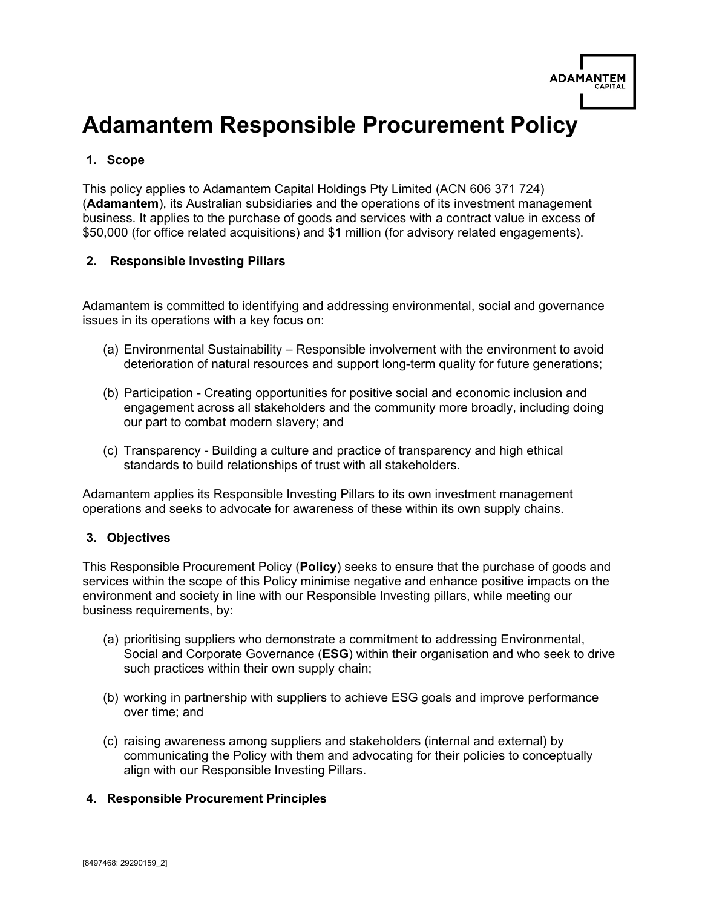| <b>ADAMANTEM</b> |  |
|------------------|--|
| <b>CAPITAL</b>   |  |
|                  |  |

# **Adamantem Responsible Procurement Policy**

### **1. Scope**

This policy applies to Adamantem Capital Holdings Pty Limited (ACN 606 371 724) (**Adamantem**), its Australian subsidiaries and the operations of its investment management business. It applies to the purchase of goods and services with a contract value in excess of \$50,000 (for office related acquisitions) and \$1 million (for advisory related engagements).

#### **2. Responsible Investing Pillars**

Adamantem is committed to identifying and addressing environmental, social and governance issues in its operations with a key focus on:

- (a) Environmental Sustainability Responsible involvement with the environment to avoid deterioration of natural resources and support long-term quality for future generations;
- (b) Participation Creating opportunities for positive social and economic inclusion and engagement across all stakeholders and the community more broadly, including doing our part to combat modern slavery; and
- (c) Transparency Building a culture and practice of transparency and high ethical standards to build relationships of trust with all stakeholders.

Adamantem applies its Responsible Investing Pillars to its own investment management operations and seeks to advocate for awareness of these within its own supply chains.

#### **3. Objectives**

This Responsible Procurement Policy (**Policy**) seeks to ensure that the purchase of goods and services within the scope of this Policy minimise negative and enhance positive impacts on the environment and society in line with our Responsible Investing pillars, while meeting our business requirements, by:

- (a) prioritising suppliers who demonstrate a commitment to addressing Environmental, Social and Corporate Governance (**ESG**) within their organisation and who seek to drive such practices within their own supply chain;
- (b) working in partnership with suppliers to achieve ESG goals and improve performance over time; and
- (c) raising awareness among suppliers and stakeholders (internal and external) by communicating the Policy with them and advocating for their policies to conceptually align with our Responsible Investing Pillars.

#### **4. Responsible Procurement Principles**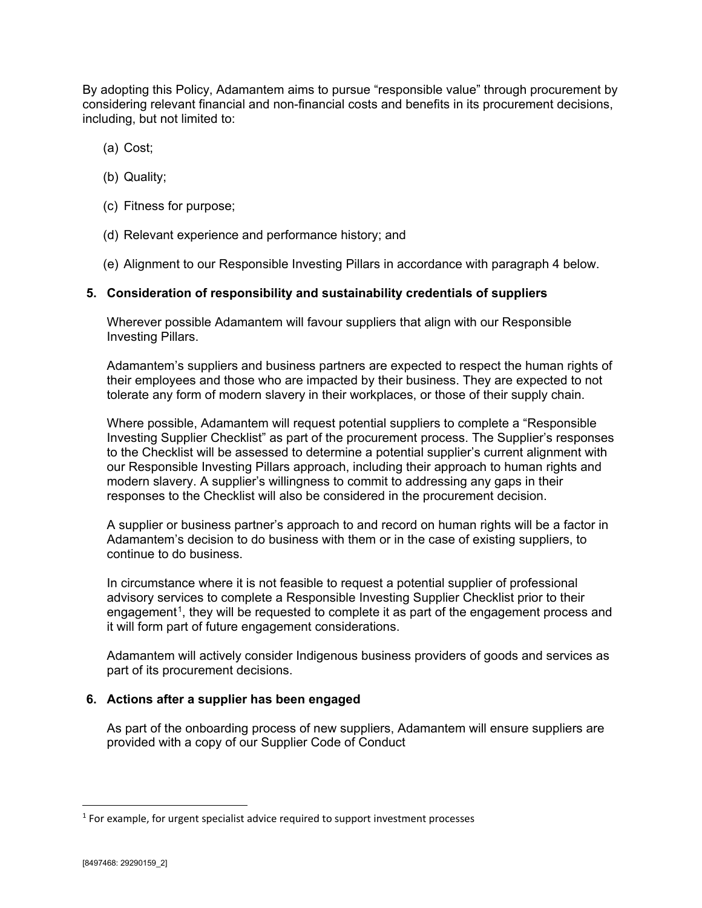By adopting this Policy, Adamantem aims to pursue "responsible value" through procurement by considering relevant financial and non-financial costs and benefits in its procurement decisions, including, but not limited to:

- (a) Cost;
- (b) Quality;
- (c) Fitness for purpose;
- (d) Relevant experience and performance history; and
- (e) Alignment to our Responsible Investing Pillars in accordance with paragraph 4 below.

#### **5. Consideration of responsibility and sustainability credentials of suppliers**

Wherever possible Adamantem will favour suppliers that align with our Responsible Investing Pillars.

Adamantem's suppliers and business partners are expected to respect the human rights of their employees and those who are impacted by their business. They are expected to not tolerate any form of modern slavery in their workplaces, or those of their supply chain.

Where possible, Adamantem will request potential suppliers to complete a "Responsible Investing Supplier Checklist" as part of the procurement process. The Supplier's responses to the Checklist will be assessed to determine a potential supplier's current alignment with our Responsible Investing Pillars approach, including their approach to human rights and modern slavery. A supplier's willingness to commit to addressing any gaps in their responses to the Checklist will also be considered in the procurement decision.

A supplier or business partner's approach to and record on human rights will be a factor in Adamantem's decision to do business with them or in the case of existing suppliers, to continue to do business.

In circumstance where it is not feasible to request a potential supplier of professional advisory services to complete a Responsible Investing Supplier Checklist prior to their engagement<sup>1</sup>, they will be requested to complete it as part of the engagement process and it will form part of future engagement considerations.

Adamantem will actively consider Indigenous business providers of goods and services as part of its procurement decisions.

#### **6. Actions after a supplier has been engaged**

As part of the onboarding process of new suppliers, Adamantem will ensure suppliers are provided with a copy of our Supplier Code of Conduct

<span id="page-1-0"></span><sup>&</sup>lt;sup>1</sup> For example, for urgent specialist advice required to support investment processes